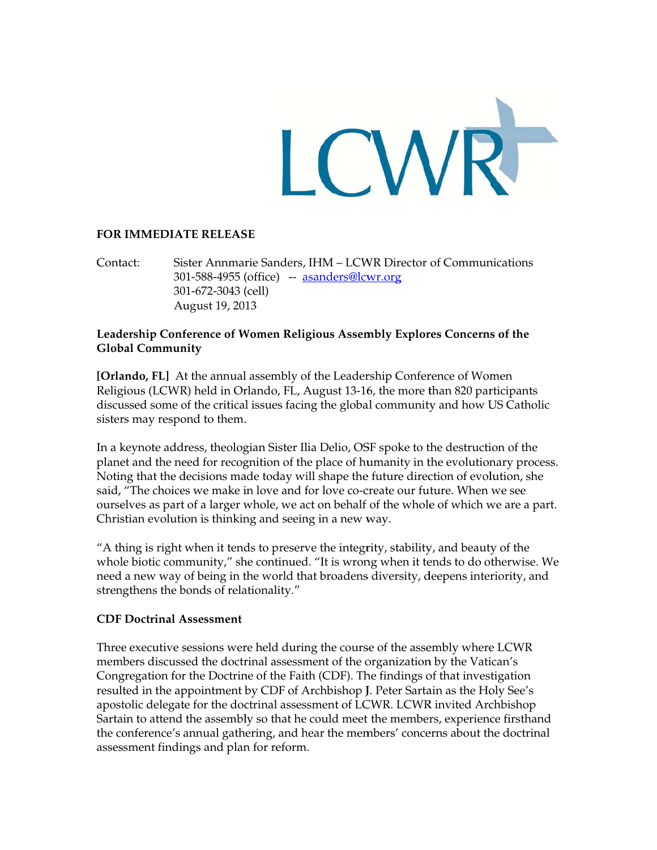

## **FOR IMMEDIATE RELEASE**

Contact: Sister Annmarie Sanders, IHM - LCWR Director of Communications 301-588-4955 (office) -- asanders@lcwr.org 301-672-3043 (cell) August 19, 2013

# Leadership Conference of Women Religious Assembly Explores Concerns of the **Global Community**

[Orlando, FL] At the annual assembly of the Leadership Conference of Women Religious (LCWR) held in Orlando, FL, August 13-16, the more than 820 participants discussed some of the critical issues facing the global community and how US Catholic sisters may respond to them.

In a keynote address, theologian Sister Ilia Delio, OSF spoke to the destruction of the planet and the need for recognition of the place of humanity in the evolutionary process. Noting that the decisions made today will shape the future direction of evolution, she said, "The choices we make in love and for love co-create our future. When we see ourselves as part of a larger whole, we act on behalf of the whole of which we are a part. Christian evolution is thinking and seeing in a new way.

"A thing is right when it tends to preserve the integrity, stability, and beauty of the whole biotic community," she continued. "It is wrong when it tends to do otherwise. We need a new way of being in the world that broadens diversity, deepens interiority, and strengthens the bonds of relationality."

# **CDF Doctrinal Assessment**

Three executive sessions were held during the course of the assembly where LCWR members discussed the doctrinal assessment of the organization by the Vatican's Congregation for the Doctrine of the Faith (CDF). The findings of that investigation resulted in the appointment by CDF of Archbishop J. Peter Sartain as the Holy See's apostolic delegate for the doctrinal assessment of LCWR. LCWR invited Archbishop Sartain to attend the assembly so that he could meet the members, experience firsthand the conference's annual gathering, and hear the members' concerns about the doctrinal assessment findings and plan for reform.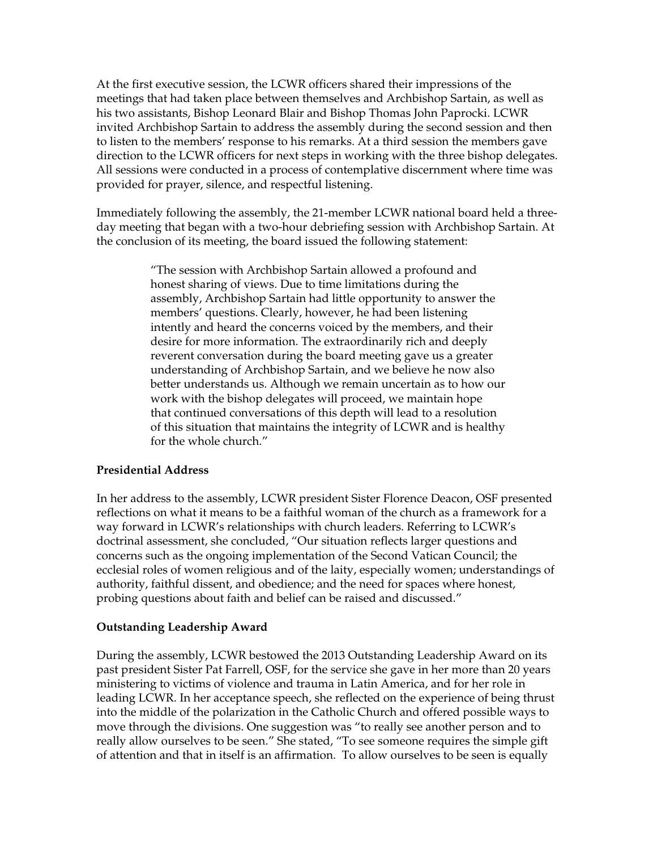At the first executive session, the LCWR officers shared their impressions of the meetings that had taken place between themselves and Archbishop Sartain, as well as his two assistants, Bishop Leonard Blair and Bishop Thomas John Paprocki. LCWR invited Archbishop Sartain to address the assembly during the second session and then to listen to the members' response to his remarks. At a third session the members gave direction to the LCWR officers for next steps in working with the three bishop delegates. All sessions were conducted in a process of contemplative discernment where time was provided for prayer, silence, and respectful listening.

Immediately following the assembly, the 21-member LCWR national board held a threeday meeting that began with a two-hour debriefing session with Archbishop Sartain. At the conclusion of its meeting, the board issued the following statement:

> "The session with Archbishop Sartain allowed a profound and honest sharing of views. Due to time limitations during the assembly, Archbishop Sartain had little opportunity to answer the members' questions. Clearly, however, he had been listening intently and heard the concerns voiced by the members, and their desire for more information. The extraordinarily rich and deeply reverent conversation during the board meeting gave us a greater understanding of Archbishop Sartain, and we believe he now also better understands us. Although we remain uncertain as to how our work with the bishop delegates will proceed, we maintain hope that continued conversations of this depth will lead to a resolution of this situation that maintains the integrity of LCWR and is healthy for the whole church."

### **Presidential Address**

In her address to the assembly, LCWR president Sister Florence Deacon, OSF presented reflections on what it means to be a faithful woman of the church as a framework for a way forward in LCWR's relationships with church leaders. Referring to LCWR's doctrinal assessment, she concluded, "Our situation reflects larger questions and concerns such as the ongoing implementation of the Second Vatican Council; the ecclesial roles of women religious and of the laity, especially women; understandings of authority, faithful dissent, and obedience; and the need for spaces where honest, probing questions about faith and belief can be raised and discussed."

### **Outstanding Leadership Award**

During the assembly, LCWR bestowed the 2013 Outstanding Leadership Award on its past president Sister Pat Farrell, OSF, for the service she gave in her more than 20 years ministering to victims of violence and trauma in Latin America, and for her role in leading LCWR. In her acceptance speech, she reflected on the experience of being thrust into the middle of the polarization in the Catholic Church and offered possible ways to move through the divisions. One suggestion was "to really see another person and to really allow ourselves to be seen." She stated, "To see someone requires the simple gift of attention and that in itself is an affirmation. To allow ourselves to be seen is equally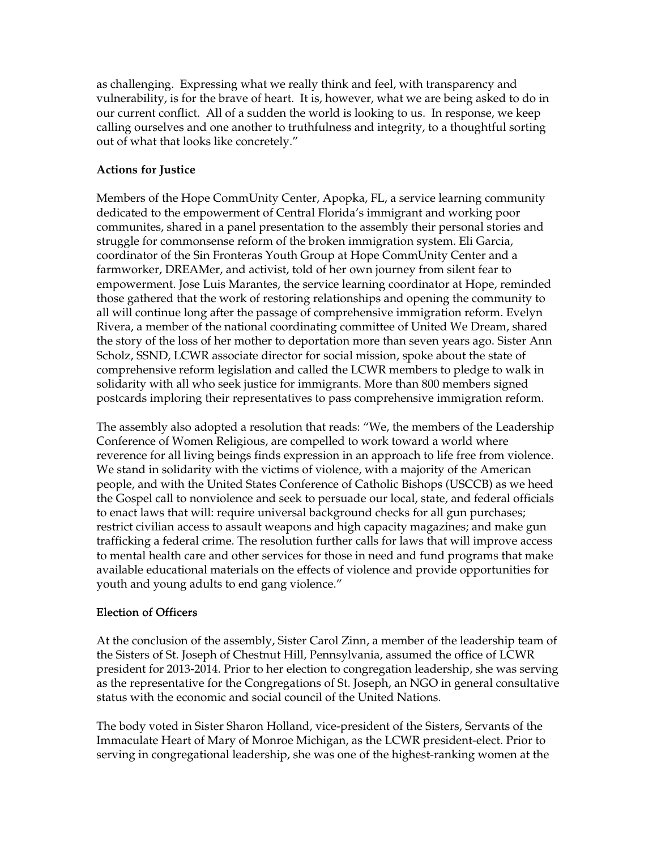as challenging. Expressing what we really think and feel, with transparency and vulnerability, is for the brave of heart. It is, however, what we are being asked to do in our current conflict. All of a sudden the world is looking to us. In response, we keep calling ourselves and one another to truthfulness and integrity, to a thoughtful sorting out of what that looks like concretely."

# **Actions for Justice**

Members of the Hope CommUnity Center, Apopka, FL, a service learning community dedicated to the empowerment of Central Florida's immigrant and working poor communites, shared in a panel presentation to the assembly their personal stories and struggle for commonsense reform of the broken immigration system. Eli Garcia, coordinator of the Sin Fronteras Youth Group at Hope CommUnity Center and a farmworker, DREAMer, and activist, told of her own journey from silent fear to empowerment. Jose Luis Marantes, the service learning coordinator at Hope, reminded those gathered that the work of restoring relationships and opening the community to all will continue long after the passage of comprehensive immigration reform. Evelyn Rivera, a member of the national coordinating committee of United We Dream, shared the story of the loss of her mother to deportation more than seven years ago. Sister Ann Scholz, SSND, LCWR associate director for social mission, spoke about the state of comprehensive reform legislation and called the LCWR members to pledge to walk in solidarity with all who seek justice for immigrants. More than 800 members signed postcards imploring their representatives to pass comprehensive immigration reform.

The assembly also adopted a resolution that reads: "We, the members of the Leadership Conference of Women Religious, are compelled to work toward a world where reverence for all living beings finds expression in an approach to life free from violence. We stand in solidarity with the victims of violence, with a majority of the American people, and with the United States Conference of Catholic Bishops (USCCB) as we heed the Gospel call to nonviolence and seek to persuade our local, state, and federal officials to enact laws that will: require universal background checks for all gun purchases; restrict civilian access to assault weapons and high capacity magazines; and make gun trafficking a federal crime. The resolution further calls for laws that will improve access to mental health care and other services for those in need and fund programs that make available educational materials on the effects of violence and provide opportunities for youth and young adults to end gang violence."

# Election of Officers

At the conclusion of the assembly, Sister Carol Zinn, a member of the leadership team of the Sisters of St. Joseph of Chestnut Hill, Pennsylvania, assumed the office of LCWR president for 2013-2014. Prior to her election to congregation leadership, she was serving as the representative for the Congregations of St. Joseph, an NGO in general consultative status with the economic and social council of the United Nations.

The body voted in Sister Sharon Holland, vice-president of the Sisters, Servants of the Immaculate Heart of Mary of Monroe Michigan, as the LCWR president-elect. Prior to serving in congregational leadership, she was one of the highest-ranking women at the